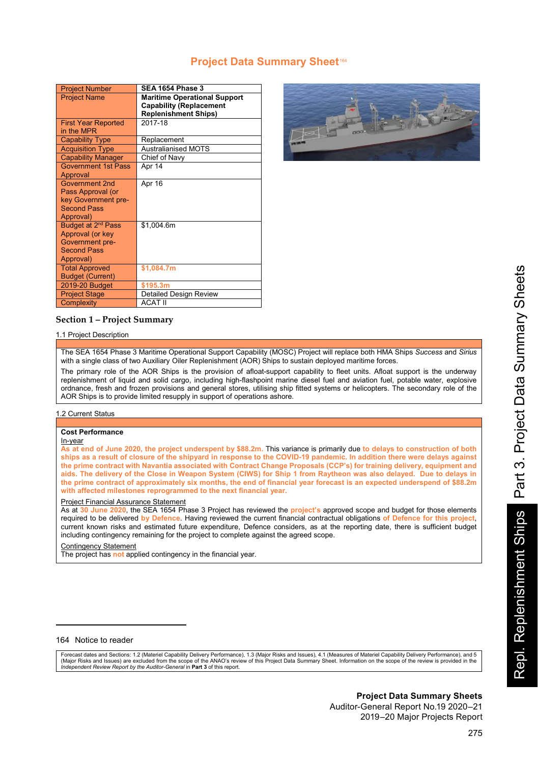# **Project Data Summary Sheet<sup>164</sup>**

| <b>Project Number</b>          | <b>SEA 1654 Phase 3</b>             |
|--------------------------------|-------------------------------------|
| <b>Project Name</b>            | <b>Maritime Operational Support</b> |
|                                | <b>Capability (Replacement</b>      |
|                                | <b>Replenishment Ships)</b>         |
| <b>First Year Reported</b>     | 2017-18                             |
| in the MPR                     |                                     |
| <b>Capability Type</b>         | Replacement                         |
| <b>Acquisition Type</b>        | <b>Australianised MOTS</b>          |
| <b>Capability Manager</b>      | Chief of Navy                       |
| <b>Government 1st Pass</b>     | Apr 14                              |
| Approval                       |                                     |
| Government 2nd                 | Apr 16                              |
| Pass Approval (or              |                                     |
| key Government pre-            |                                     |
| <b>Second Pass</b>             |                                     |
| Approval)                      |                                     |
| Budget at 2 <sup>nd</sup> Pass | \$1,004.6m                          |
| Approval (or key               |                                     |
| Government pre-                |                                     |
| <b>Second Pass</b>             |                                     |
| Approval)                      |                                     |
| <b>Total Approved</b>          | \$1,084.7m                          |
| <b>Budget (Current)</b>        |                                     |
| 2019-20 Budget                 | \$195.3m                            |
| <b>Project Stage</b>           | <b>Detailed Design Review</b>       |
| Complexity                     | <b>ACAT II</b>                      |



## **Section 1 – Project Summary**

### 1.1 Project Description

The SEA 1654 Phase 3 Maritime Operational Support Capability (MOSC) Project will replace both HMA Ships *Success* and *Sirius* with a single class of two Auxiliary Oiler Replenishment (AOR) Ships to sustain deployed maritime forces.

The primary role of the AOR Ships is the provision of afloat-support capability to fleet units. Afloat support is the underway replenishment of liquid and solid cargo, including high-flashpoint marine diesel fuel and aviation fuel, potable water, explosive ordnance, fresh and frozen provisions and general stores, utilising ship fitted systems or helicopters. The secondary role of the AOR Ships is to provide limited resupply in support of operations ashore.

#### 1.2 Current Status

#### **Cost Performance**

In-year

**As at end of June 2020, the project underspent by \$88.2m.** This variance is primarily due **to delays to construction of both ships as a result of closure of the shipyard in response to the COVID-19 pandemic. In addition there were delays against the prime contract with Navantia associated with Contract Change Proposals (CCP's) for training delivery, equipment and aids. The delivery of the Close in Weapon System (CIWS) for Ship 1 from Raytheon was also delayed. Due to delays in the prime contract of approximately six months, the end of financial year forecast is an expected underspend of \$88.2m with affected milestones reprogrammed to the next financial year.**

#### Project Financial Assurance Statement

As at **30 June 2020**, the SEA 1654 Phase 3 Project has reviewed the **project's** approved scope and budget for those elements required to be delivered **by Defence**. Having reviewed the current financial contractual obligations **of Defence for this project**, current known risks and estimated future expenditure, Defence considers, as at the reporting date, there is sufficient budget including contingency remaining for the project to complete against the agreed scope.

#### Contingency Statement

The project has **not** applied contingency in the financial year.

### 164 Notice to reader

 $\overline{a}$ 

Forecast dates and Sections: 1.2 (Materiel Capability Delivery Performance), 1.3 (Major Risks and Issues), 4.1 (Measures of Materiel Capability Delivery Performance), and 5 (Major Risks and Issues) are excluded from the scope of the ANAO's review of this Project Data Summary Sheet. Information on the scope of the review is provided in the<br>*Independent Review Report by the Auditor-General* in

# **Project Data Summary Sheets**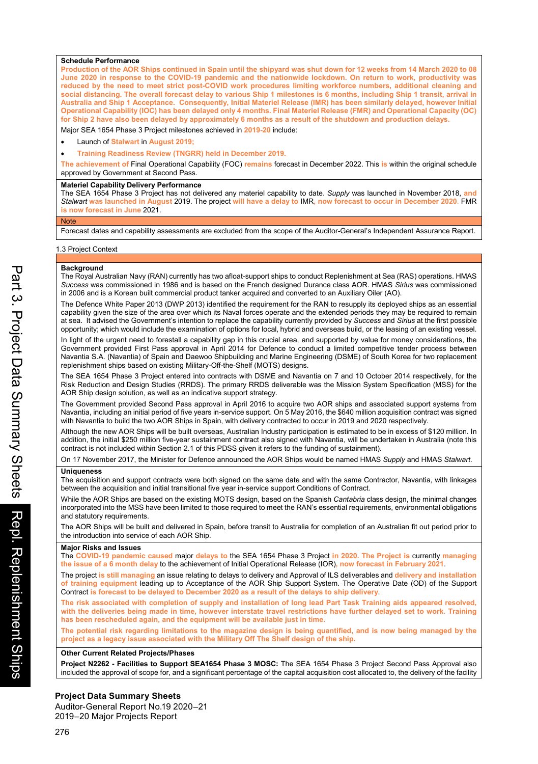#### **Schedule Performance**

**Production of the AOR Ships continued in Spain until the shipyard was shut down for 12 weeks from 14 March 2020 to 08 June 2020 in response to the COVID-19 pandemic and the nationwide lockdown. On return to work, productivity was reduced by the need to meet strict post-COVID work procedures limiting workforce numbers, additional cleaning and social distancing. The overall forecast delay to various Ship 1 milestones is 6 months, including Ship 1 transit, arrival in Australia and Ship 1 Acceptance. Consequently, Initial Materiel Release (IMR) has been similarly delayed, however Initial Operational Capability (IOC) has been delayed only 4 months. Final Materiel Release (FMR) and Operational Capacity (OC) for Ship 2 have also been delayed by approximately 6 months as a result of the shutdown and production delays.**

Major SEA 1654 Phase 3 Project milestones achieved in **2019-20** include:

- Launch of **Stalwart** in **August 2019;**
- **Training Readiness Review (TNGRR) held in December 2019.**

**The achievement of** Final Operational Capability (FOC) **remains** forecast in December 2022. This **is** within the original schedule approved by Government at Second Pass.

#### **Materiel Capability Delivery Performance**

The SEA 1654 Phase 3 Project has not delivered any materiel capability to date. *Supply* was launched in November 2018, **and** *Stalwart* **was launched in August** 2019. The project **will have a delay to** IMR**, now forecast to occur in December 2020**. FMR **is now forecast in June** 2021.

Forecast dates and capability assessments are excluded from the scope of the Auditor-General's Independent Assurance Report.

#### 1.3 Project Context

#### **Background**

**Note** 

The Royal Australian Navy (RAN) currently has two afloat-support ships to conduct Replenishment at Sea (RAS) operations. HMAS *Success* was commissioned in 1986 and is based on the French designed Durance class AOR. HMAS *Sirius* was commissioned in 2006 and is a Korean built commercial product tanker acquired and converted to an Auxiliary Oiler (AO).

The Defence White Paper 2013 (DWP 2013) identified the requirement for the RAN to resupply its deployed ships as an essential capability given the size of the area over which its Naval forces operate and the extended periods they may be required to remain at sea. It advised the Government's intention to replace the capability currently provided by *Success* and *Sirius* at the first possible opportunity; which would include the examination of options for local, hybrid and overseas build, or the leasing of an existing vessel.

In light of the urgent need to forestall a capability gap in this crucial area, and supported by value for money considerations, the Government provided First Pass approval in April 2014 for Defence to conduct a limited competitive tender process between Navantia S.A. (Navantia) of Spain and Daewoo Shipbuilding and Marine Engineering (DSME) of South Korea for two replacement replenishment ships based on existing Military-Off-the-Shelf (MOTS) designs.

The SEA 1654 Phase 3 Project entered into contracts with DSME and Navantia on 7 and 10 October 2014 respectively, for the Risk Reduction and Design Studies (RRDS). The primary RRDS deliverable was the Mission System Specification (MSS) for the AOR Ship design solution, as well as an indicative support strategy.

The Government provided Second Pass approval in April 2016 to acquire two AOR ships and associated support systems from Navantia, including an initial period of five years in-service support. On 5 May 2016, the \$640 million acquisition contract was signed with Navantia to build the two AOR Ships in Spain, with delivery contracted to occur in 2019 and 2020 respectively.

Although the new AOR Ships will be built overseas, Australian Industry participation is estimated to be in excess of \$120 million. In addition, the initial \$250 million five-year sustainment contract also signed with Navantia, will be undertaken in Australia (note this contract is not included within Section 2.1 of this PDSS given it refers to the funding of sustainment).

On 17 November 2017, the Minister for Defence announced the AOR Ships would be named HMAS *Supply* and HMAS *Stalwart*.

#### **Uniqueness**

The acquisition and support contracts were both signed on the same date and with the same Contractor, Navantia, with linkages between the acquisition and initial transitional five year in-service support Conditions of Contract.

While the AOR Ships are based on the existing MOTS design, based on the Spanish *Cantabria* class design, the minimal changes incorporated into the MSS have been limited to those required to meet the RAN's essential requirements, environmental obligations and statutory requirements.

The AOR Ships will be built and delivered in Spain, before transit to Australia for completion of an Australian fit out period prior to the introduction into service of each AOR Ship.

#### **Major Risks and Issues**

The **COVID-19 pandemic caused** major **delays to** the SEA 1654 Phase 3 Project **in 2020. The Project is** currently **managing the issue of a 6 month delay** to the achievement of Initial Operational Release (IOR)**, now forecast in February 2021**.

The project **is still managing** an issue relating to delays to delivery and Approval of ILS deliverables and **delivery and installation of training equipment** leading up to Acceptance of the AOR Ship Support System. The Operative Date (OD) of the Support Contract **is forecast to be delayed to December 2020 as a result of the delays to ship delivery**.

**The risk associated with completion of supply and installation of long lead Part Task Training aids appeared resolved, with the deliveries being made in time, however interstate travel restrictions have further delayed set to work. Training has been rescheduled again, and the equipment will be available just in time.**

**The potential risk regarding limitations to the magazine design is being quantified, and is now being managed by the project as a legacy issue associated with the Military Off The Shelf design of the ship.**

#### **Other Current Related Projects/Phases**

**Project N2262 - Facilities to Support SEA1654 Phase 3 MOSC:** The SEA 1654 Phase 3 Project Second Pass Approval also included the approval of scope for, and a significant percentage of the capital acquisition cost allocated to, the delivery of the facility

## 152 **Project Data Summary Sheets**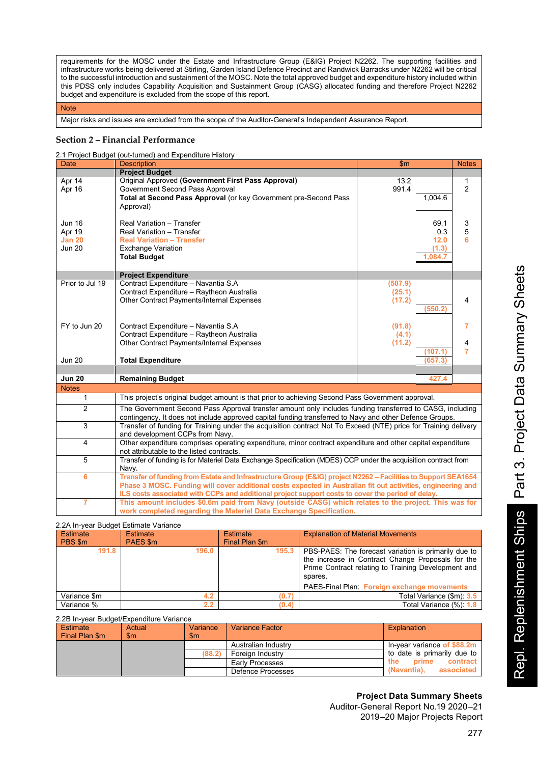requirements for the MOSC under the Estate and Infrastructure Group (E&IG) Project N2262. The supporting facilities and infrastructure works being delivered at Stirling, Garden Island Defence Precinct and Randwick Barracks under N2262 will be critical to the successful introduction and sustainment of the MOSC. Note the total approved budget and expenditure history included within this PDSS only includes Capability Acquisition and Sustainment Group (CASG) allocated funding and therefore Project N2262 budget and expenditure is excluded from the scope of this report.

#### **Note**

Major risks and issues are excluded from the scope of the Auditor-General's Independent Assurance Report.

### **Section 2 – Financial Performance**

2.1 Project Budget (out-turned) and Expenditure History

|                 | 2.1 Project Budget (out-turned) and Expenditure History                                                         |         |         |                |
|-----------------|-----------------------------------------------------------------------------------------------------------------|---------|---------|----------------|
| Date            | <b>Description</b>                                                                                              | \$m     |         | <b>Notes</b>   |
|                 | <b>Project Budget</b>                                                                                           |         |         |                |
| Apr 14          | Original Approved (Government First Pass Approval)                                                              | 13.2    |         | 1              |
| Apr 16          | Government Second Pass Approval                                                                                 | 991.4   |         | $\overline{2}$ |
|                 | Total at Second Pass Approval (or key Government pre-Second Pass                                                |         | 1,004.6 |                |
|                 | Approval)                                                                                                       |         |         |                |
|                 |                                                                                                                 |         |         |                |
| Jun 16          | Real Variation - Transfer                                                                                       |         | 69.1    | 3              |
| Apr 19          | Real Variation - Transfer                                                                                       |         | 0.3     | 5              |
| <b>Jan 20</b>   | <b>Real Variation - Transfer</b>                                                                                |         | 12.0    | 6              |
| <b>Jun 20</b>   | <b>Exchange Variation</b>                                                                                       |         | (1.3)   |                |
|                 | <b>Total Budget</b>                                                                                             |         | 1.084.7 |                |
|                 |                                                                                                                 |         |         |                |
|                 | <b>Project Expenditure</b>                                                                                      |         |         |                |
| Prior to Jul 19 | Contract Expenditure - Navantia S.A                                                                             | (507.9) |         |                |
|                 | Contract Expenditure - Raytheon Australia                                                                       | (25.1)  |         |                |
|                 | Other Contract Payments/Internal Expenses                                                                       | (17.2)  |         | 4              |
|                 |                                                                                                                 |         |         |                |
|                 |                                                                                                                 |         | (550.2  |                |
|                 |                                                                                                                 |         |         |                |
| FY to Jun 20    | Contract Expenditure - Navantia S.A                                                                             | (91.8)  |         | 7              |
|                 | Contract Expenditure - Raytheon Australia                                                                       | (4.1)   |         |                |
|                 | Other Contract Payments/Internal Expenses                                                                       | (11.2)  |         | 4              |
|                 |                                                                                                                 |         | (107.1) | 7              |
| <b>Jun 20</b>   | <b>Total Expenditure</b>                                                                                        |         | (657.3) |                |
|                 |                                                                                                                 |         |         |                |
| <b>Jun 20</b>   | <b>Remaining Budget</b>                                                                                         |         | 427.4   |                |
| <b>Notes</b>    |                                                                                                                 |         |         |                |
| $\mathbf{1}$    | This project's original budget amount is that prior to achieving Second Pass Government approval.               |         |         |                |
| $\overline{2}$  | The Government Second Pass Approval transfer amount only includes funding transferred to CASG, including        |         |         |                |
|                 | contingency. It does not include approved capital funding transferred to Navy and other Defence Groups.         |         |         |                |
| 3               | Transfer of funding for Training under the acquisition contract Not To Exceed (NTE) price for Training delivery |         |         |                |
|                 | and development CCPs from Navy.                                                                                 |         |         |                |
| 4               | Other expenditure comprises operating expenditure, minor contract expenditure and other capital expenditure     |         |         |                |
|                 | not attributable to the listed contracts.                                                                       |         |         |                |
| $\overline{5}$  | Transfer of funding is for Materiel Data Exchange Specification (MDES) CCP under the acquisition contract from  |         |         |                |
|                 | Navy.                                                                                                           |         |         |                |
| 6               | Transfer of funding from Estate and Infrastructure Group (E&IG) project N2262 - Facilities to Support SEA1654   |         |         |                |
|                 | Phase 3 MOSC. Funding will cover additional costs expected in Australian fit out activities, engineering and    |         |         |                |
|                 | ILS costs associated with CCPs and additional project support costs to cover the period of delay.               |         |         |                |
| 7               | This amount includes \$0.6m paid from Navy (outside CASG) which relates to the project. This was for            |         |         |                |
|                 |                                                                                                                 |         |         |                |
|                 | work completed regarding the Materiel Data Exchange Specification.                                              |         |         |                |

### 2.2A In-year Budget Estimate Variance

| Estimate<br>PBS \$m | <b>Estimate</b><br>PAES \$m | <b>Estimate</b><br>Final Plan \$m | <b>Explanation of Material Movements</b>                                                                                                                                                                                   |
|---------------------|-----------------------------|-----------------------------------|----------------------------------------------------------------------------------------------------------------------------------------------------------------------------------------------------------------------------|
| 191.8               | 196.0                       | 195.3                             | PBS-PAES: The forecast variation is primarily due to<br>the increase in Contract Change Proposals for the<br>Prime Contract relating to Training Development and<br>spares.<br>PAES-Final Plan: Foreign exchange movements |
| Variance \$m        |                             | (0.7                              | Total Variance (\$m): 3.5                                                                                                                                                                                                  |
| Variance %          | 2.2                         | (0.4)                             | Total Variance (%): 1.8                                                                                                                                                                                                    |

#### 2.2B In-year Budget/Expenditure Variance

| Estimate<br>Actual<br>Final Plan \$m<br>$\mathsf{Sm}$ | Variance<br>\$m | <b>Variance Factor</b> | Explanation                 |
|-------------------------------------------------------|-----------------|------------------------|-----------------------------|
|                                                       |                 | Australian Industry    | In-year variance of \$88.2m |
|                                                       | (88.2)          | Foreign Industry       | to date is primarily due to |
|                                                       |                 | Early Processes        | contract<br>prime<br>the:   |
|                                                       |                 | Defence Processes      | associated<br>(Navantia).   |

# **Project Data Summary Sheets**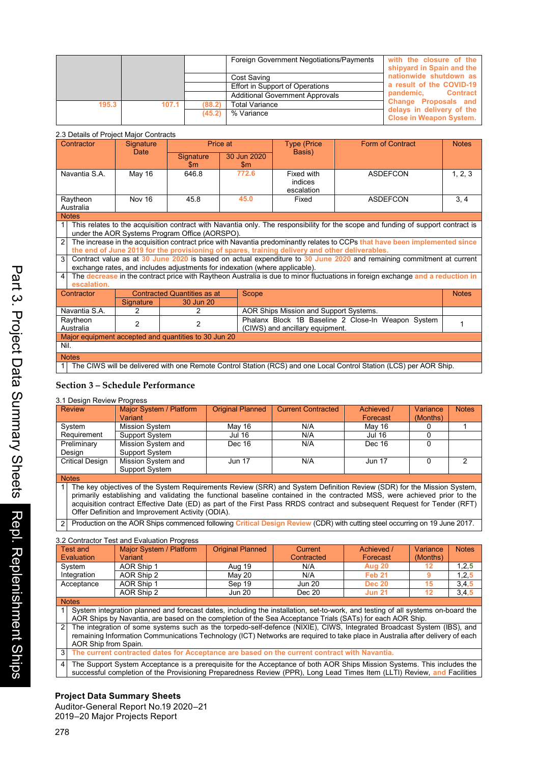|       |       |        | Foreign Government Negotiations/Payments | with the closure of the<br>shipyard in Spain and the        |
|-------|-------|--------|------------------------------------------|-------------------------------------------------------------|
|       |       |        | Cost Saving                              | nationwide shutdown as                                      |
|       |       |        | Effort in Support of Operations          | a result of the COVID-19                                    |
|       |       |        | <b>Additional Government Approvals</b>   | <b>Contract</b><br>pandemic.                                |
| 195.3 | 107.1 | (88.2) | <b>Total Variance</b>                    | Change Proposals and                                        |
|       |       | (45.2) | % Variance                               | delays in delivery of the<br><b>Close in Weapon System.</b> |

## 2.2 Details of Project Major Contracts

| Contractor                                                                                                                                                                         | Signature<br><b>Date</b> | Price at                                                                    |                              | <b>Type (Price)</b>                                                                            | <b>Form of Contract</b>                                                                                                        | <b>Notes</b> |
|------------------------------------------------------------------------------------------------------------------------------------------------------------------------------------|--------------------------|-----------------------------------------------------------------------------|------------------------------|------------------------------------------------------------------------------------------------|--------------------------------------------------------------------------------------------------------------------------------|--------------|
|                                                                                                                                                                                    |                          | <b>Signature</b><br>$\mathbf{Sm}$                                           | 30 Jun 2020<br>$\mathsf{Sm}$ | Basis)                                                                                         |                                                                                                                                |              |
| Navantia S.A.                                                                                                                                                                      | May 16                   | 646.8                                                                       | 772.6                        | Fixed with<br>indices<br>escalation                                                            | <b>ASDEFCON</b>                                                                                                                | 1, 2, 3      |
| Raytheon<br>Australia                                                                                                                                                              | Nov 16                   | 45.8                                                                        | 45.0                         | Fixed                                                                                          | <b>ASDEFCON</b>                                                                                                                | 3, 4         |
| <b>Notes</b>                                                                                                                                                                       |                          |                                                                             |                              |                                                                                                |                                                                                                                                |              |
| This relates to the acquisition contract with Navantia only. The responsibility for the scope and funding of support contract is<br>under the AOR Systems Program Office (AORSPO). |                          |                                                                             |                              |                                                                                                |                                                                                                                                |              |
| The increase in the acquisition contract price with Navantia predominantly relates to CCPs that have been implemented since<br>$\overline{2}$                                      |                          |                                                                             |                              |                                                                                                |                                                                                                                                |              |
|                                                                                                                                                                                    |                          |                                                                             |                              | the end of June 2019 for the provisioning of spares, training delivery and other deliverables. |                                                                                                                                |              |
| 3                                                                                                                                                                                  |                          | exchange rates, and includes adjustments for indexation (where applicable). |                              |                                                                                                | Contract value as at 30 June 2020 is based on actual expenditure to 30 June 2020 and remaining commitment at current           |              |
| 4<br>escalation.                                                                                                                                                                   |                          |                                                                             |                              |                                                                                                | The decrease in the contract price with Raytheon Australia is due to minor fluctuations in foreign exchange and a reduction in |              |
| Contractor                                                                                                                                                                         |                          | <b>Contracted Quantities as at</b>                                          | Scope                        |                                                                                                |                                                                                                                                | <b>Notes</b> |
|                                                                                                                                                                                    | <b>Signature</b>         | 30 Jun 20                                                                   |                              |                                                                                                |                                                                                                                                |              |
| Navantia S.A.                                                                                                                                                                      | 2                        | 2                                                                           |                              | AOR Ships Mission and Support Systems.                                                         |                                                                                                                                |              |
| Raytheon<br>Australia                                                                                                                                                              | $\overline{2}$           | $\overline{2}$                                                              |                              | (CIWS) and ancillary equipment.                                                                | Phalanx Block 1B Baseline 2 Close-In Weapon System                                                                             |              |
| Major equipment accepted and quantities to 30 Jun 20                                                                                                                               |                          |                                                                             |                              |                                                                                                |                                                                                                                                |              |
| Nil.                                                                                                                                                                               |                          |                                                                             |                              |                                                                                                |                                                                                                                                |              |
| <b>Notes</b>                                                                                                                                                                       |                          |                                                                             |                              |                                                                                                |                                                                                                                                |              |
|                                                                                                                                                                                    |                          |                                                                             |                              |                                                                                                | The CIWS will be delivered with one Remote Control Station (RCS) and one Local Control Station (LCS) per AOR Ship.             |              |

## **Section 3 – Schedule Performance**

### 3.1 Design Review Progress

| <b>Review</b>                                                                                                         | Major System / Platform                                                                                                   | <b>Original Planned</b> | <b>Current Contracted</b> | Achieved /    | Variance | <b>Notes</b> |  |
|-----------------------------------------------------------------------------------------------------------------------|---------------------------------------------------------------------------------------------------------------------------|-------------------------|---------------------------|---------------|----------|--------------|--|
|                                                                                                                       | Variant                                                                                                                   |                         |                           | Forecast      | (Months) |              |  |
| System                                                                                                                | Mission System                                                                                                            | Mav 16                  | N/A                       | Mav 16        |          |              |  |
| Requirement                                                                                                           | Support System                                                                                                            | Jul 16                  | N/A                       | <b>Jul 16</b> |          |              |  |
| Preliminary                                                                                                           | Mission System and                                                                                                        | Dec 16                  | N/A                       | Dec 16        |          |              |  |
| Desian                                                                                                                | Support System                                                                                                            |                         |                           |               |          |              |  |
| <b>Critical Design</b>                                                                                                | Mission System and                                                                                                        | <b>Jun 17</b>           | N/A                       | <b>Jun 17</b> |          | 2            |  |
|                                                                                                                       | Support System                                                                                                            |                         |                           |               |          |              |  |
| <b>Notes</b>                                                                                                          |                                                                                                                           |                         |                           |               |          |              |  |
| The key objectives of the System Requirements Review (SRR) and System Definition Review (SDR) for the Mission System, |                                                                                                                           |                         |                           |               |          |              |  |
|                                                                                                                       | primarily establishing and validating the functional baseline contained in the contracted MSS, were achieved prior to the |                         |                           |               |          |              |  |

primarily establishing and validating the functional baseline contained in the contracted MSS, were achieved prior to the<br>acquisition contract Effective Date (ED) as part of the First Pass RRDS contract and subsequent Requ Offer Definition and Improvement Activity (ODIA).

2 Production on the AOR Ships commenced following **Critical Design Review** (CDR) with cutting steel occurring on 19 June 2017.

|                                                                                                                | 3.2 Contractor Test and Evaluation Progress                                                                                     |                         |               |               |          |              |  |  |
|----------------------------------------------------------------------------------------------------------------|---------------------------------------------------------------------------------------------------------------------------------|-------------------------|---------------|---------------|----------|--------------|--|--|
| Test and                                                                                                       | Major System / Platform                                                                                                         | <b>Original Planned</b> | Current       | Achieved /    | Variance | <b>Notes</b> |  |  |
| Evaluation                                                                                                     | Variant                                                                                                                         |                         | Contracted    | Forecast      | (Months) |              |  |  |
| System                                                                                                         | AOR Ship 1                                                                                                                      | Aug 19                  | N/A           | Aug 20        | 12       | 1, 2, 5      |  |  |
| Integration                                                                                                    | AOR Ship 2                                                                                                                      | May 20                  | N/A           | Feb 21        | 9        | 1, 2, 5      |  |  |
| Acceptance                                                                                                     | AOR Ship 1                                                                                                                      | Sep 19                  | <b>Jun 20</b> | <b>Dec 20</b> | 15       | 3,4,5        |  |  |
|                                                                                                                | AOR Ship 2                                                                                                                      | <b>Jun 20</b>           | Dec 20        | <b>Jun 21</b> | 12       | 3,4,5        |  |  |
| <b>Notes</b>                                                                                                   |                                                                                                                                 |                         |               |               |          |              |  |  |
|                                                                                                                | System integration planned and forecast dates, including the installation, set-to-work, and testing of all systems on-board the |                         |               |               |          |              |  |  |
|                                                                                                                | AOR Ships by Navantia, are based on the completion of the Sea Acceptance Trials (SATs) for each AOR Ship.                       |                         |               |               |          |              |  |  |
| $\mathcal{P}$                                                                                                  | The integration of some systems such as the torpedo-self-defence (NIXIE), CIWS, Integrated Broadcast System (IBS), and          |                         |               |               |          |              |  |  |
|                                                                                                                | remaining Information Communications Technology (ICT) Networks are required to take place in Australia after delivery of each   |                         |               |               |          |              |  |  |
| AOR Ship from Spain.                                                                                           |                                                                                                                                 |                         |               |               |          |              |  |  |
| 3 <sup>1</sup><br>The current contracted dates for Acceptance are based on the current contract with Navantia. |                                                                                                                                 |                         |               |               |          |              |  |  |
| 4                                                                                                              | The Support System Acceptance is a prerequisite for the Acceptance of both AOR Ships Mission Systems. This includes the         |                         |               |               |          |              |  |  |
|                                                                                                                | successful completion of the Provisioning Preparedness Review (PPR), Long Lead Times Item (LLTI) Review, and Facilities         |                         |               |               |          |              |  |  |

## 154 **Project Data Summary Sheets**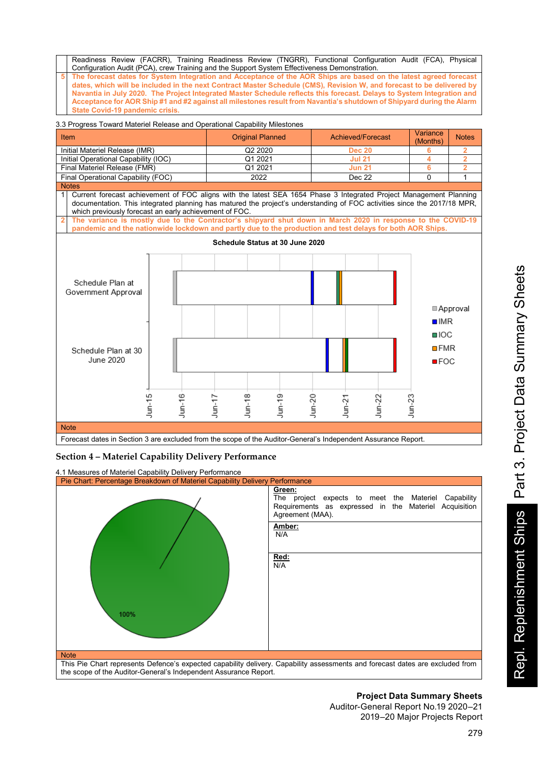Readiness Review (FACRR), Training Readiness Review (TNGRR), Functional Configuration Audit (FCA), Physical Configuration Audit (PCA), crew Training and the Support System Effectiveness Demonstration.

**5 The forecast dates for System Integration and Acceptance of the AOR Ships are based on the latest agreed forecast dates, which will be included in the next Contract Master Schedule (CMS), Revision W, and forecast to be delivered by Navantia in July 2020. The Project Integrated Master Schedule reflects this forecast. Delays to System Integration and Acceptance for AOR Ship #1 and #2 against all milestones result from Navantia's shutdown of Shipyard during the Alarm State Covid-19 pandemic crisis.**

## 3.3 Progress Toward Materiel Release and Operational Capability Milestones



## **Section 4 – Materiel Capability Delivery Performance**

4.1 Measures of Materiel Capability Delivery Performance Pie Chart: Percentage Breakdown of Materiel Capability Delivery Performance **Green:** The project expects to meet the Materiel Capability Requirements as expressed in the Materiel Acquisition Agreement (MAA). **Amber:** N/A **Red:** N/A 100% **Note** This Pie Chart represents Defence's expected capability delivery. Capability assessments and forecast dates are excluded from the scope of the Auditor-General's Independent Assurance Report.

## **Project Data Summary Sheets**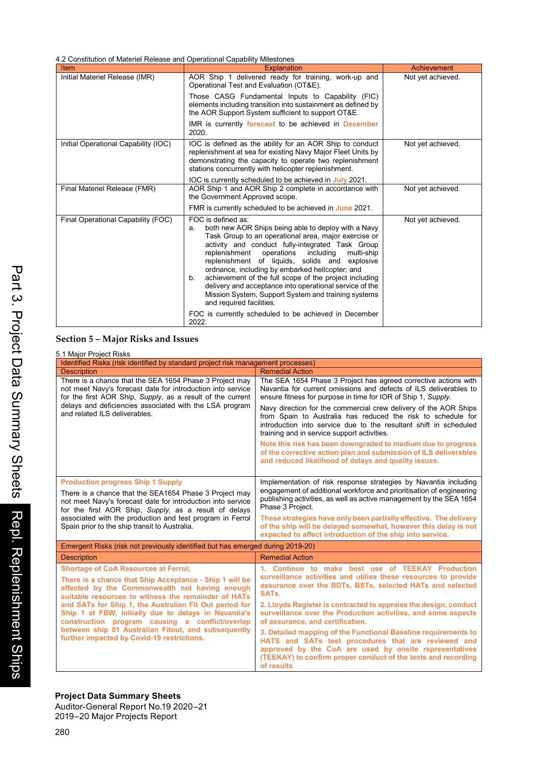4.2 Constitution of Materiel Release and Operational Capability Milestones

| Item                                 | <b>Explanation</b>                                                                                                                                                                                                                                                                                                                                                                                                                                                                                                                                                       | Achievement       |
|--------------------------------------|--------------------------------------------------------------------------------------------------------------------------------------------------------------------------------------------------------------------------------------------------------------------------------------------------------------------------------------------------------------------------------------------------------------------------------------------------------------------------------------------------------------------------------------------------------------------------|-------------------|
| Initial Materiel Release (IMR)       | AOR Ship 1 delivered ready for training, work-up and<br>Operational Test and Evaluation (OT&E).                                                                                                                                                                                                                                                                                                                                                                                                                                                                          | Not yet achieved. |
|                                      | Those CASG Fundamental Inputs to Capability (FIC)<br>elements including transition into sustainment as defined by<br>the AOR Support System sufficient to support OT&E.                                                                                                                                                                                                                                                                                                                                                                                                  |                   |
|                                      | IMR is currently forecast to be achieved in December<br>2020.                                                                                                                                                                                                                                                                                                                                                                                                                                                                                                            |                   |
| Initial Operational Capability (IOC) | IOC is defined as the ability for an AOR Ship to conduct<br>replenishment at sea for existing Navy Major Fleet Units by<br>demonstrating the capacity to operate two replenishment<br>stations concurrently with helicopter replenishment.                                                                                                                                                                                                                                                                                                                               | Not yet achieved. |
|                                      | IOC is currently scheduled to be achieved in July 2021.                                                                                                                                                                                                                                                                                                                                                                                                                                                                                                                  |                   |
| Final Materiel Release (FMR)         | AOR Ship 1 and AOR Ship 2 complete in accordance with<br>the Government Approved scope.                                                                                                                                                                                                                                                                                                                                                                                                                                                                                  | Not yet achieved. |
|                                      | FMR is currently scheduled to be achieved in June 2021.                                                                                                                                                                                                                                                                                                                                                                                                                                                                                                                  |                   |
| Final Operational Capability (FOC)   | FOC is defined as:<br>both new AOR Ships being able to deploy with a Navy<br>а.<br>Task Group to an operational area, major exercise or<br>activity and conduct fully-integrated Task Group<br>replenishment<br>operations<br>includina<br>multi-ship<br>replenishment of liquids, solids and explosive<br>ordnance, including by embarked helicopter; and<br>achievement of the full scope of the project including<br>b.<br>delivery and acceptance into operational service of the<br>Mission System, Support System and training systems<br>and required facilities. | Not yet achieved. |
|                                      | FOC is currently scheduled to be achieved in December<br>2022.                                                                                                                                                                                                                                                                                                                                                                                                                                                                                                           |                   |

# **Section 5 – Major Risks and Issues**

| 5.1 Major Project Risks                                                                                                                                                              |                                                                                                                                                                                                                                                                |  |  |  |
|--------------------------------------------------------------------------------------------------------------------------------------------------------------------------------------|----------------------------------------------------------------------------------------------------------------------------------------------------------------------------------------------------------------------------------------------------------------|--|--|--|
| Identified Risks (risk identified by standard project risk management processes)                                                                                                     |                                                                                                                                                                                                                                                                |  |  |  |
| <b>Description</b>                                                                                                                                                                   | <b>Remedial Action</b>                                                                                                                                                                                                                                         |  |  |  |
| There is a chance that the SEA 1654 Phase 3 Project may<br>not meet Navy's forecast date for introduction into service<br>for the first AOR Ship, Supply, as a result of the current | The SEA 1654 Phase 3 Project has agreed corrective actions with<br>Navantia for current omissions and defects of ILS deliverables to<br>ensure fitness for purpose in time for IOR of Ship 1, Supply.                                                          |  |  |  |
| delays and deficiencies associated with the LSA program<br>and related ILS deliverables.                                                                                             | Navy direction for the commercial crew delivery of the AOR Ships<br>from Spain to Australia has reduced the risk to schedule for<br>introduction into service due to the resultant shift in scheduled<br>training and in service support activities.           |  |  |  |
|                                                                                                                                                                                      | Note this risk has been downgraded to medium due to progress<br>of the corrective action plan and submission of ILS deliverables<br>and reduced likelihood of delays and quality issues.                                                                       |  |  |  |
| <b>Production progress Ship 1 Supply</b>                                                                                                                                             | Implementation of risk response strategies by Navantia including                                                                                                                                                                                               |  |  |  |
| There is a chance that the SEA1654 Phase 3 Project may<br>not meet Navy's forecast date for introduction into service<br>for the first AOR Ship, Supply, as a result of delays       | engagement of additional workforce and prioritisation of engineering<br>publishing activities, as well as active management by the SEA 1654<br>Phase 3 Proiect.                                                                                                |  |  |  |
| associated with the production and test program in Ferrol<br>Spain prior to the ship transit to Australia.                                                                           | These strategies have only been partially effective. The delivery<br>of the ship will be delaved somewhat, however this delay is not<br>expected to affect introduction of the ship into service.                                                              |  |  |  |
| Emergent Risks (risk not previously identified but has emerged during 2019-20)                                                                                                       |                                                                                                                                                                                                                                                                |  |  |  |
| <b>Description</b>                                                                                                                                                                   | <b>Remedial Action</b>                                                                                                                                                                                                                                         |  |  |  |
| <b>Shortage of CoA Resources at Ferrol:</b>                                                                                                                                          | 1. Continue to make best use of TEEKAY Production                                                                                                                                                                                                              |  |  |  |
| There is a chance that Ship Acceptance - Ship 1 will be<br>affected by the Commonwealth not having enough<br>suitable resources to witness the remainder of HATs                     | surveillance activities and utilise these resources to provide<br>assurance over the BDTs, BSTs, selected HATs and selected<br>SATs.                                                                                                                           |  |  |  |
| and SATs for Ship 1, the Australian Fit Out period for<br>Ship 1 at FBW, initially due to delays in Navantia's<br>construction program causing a conflict/overlap                    | 2. Lloyds Register is contracted to appraise the design, conduct<br>surveillance over the Production activities, and some aspects<br>of assurance, and certification.                                                                                          |  |  |  |
| between ship 01 Australian Fitout, and subsequently<br>further impacted by Covid-19 restrictions.                                                                                    | 3. Detailed mapping of the Functional Baseline requirements to<br>HATS and SATs test procedures that are reviewed and<br>approved by the CoA are used by onsite representatives<br>(TEEKAY) to confirm proper conduct of the tests and recording<br>of results |  |  |  |

Project Data Summary Sheets<br>Auditor-General Report No.19 2020–21 2019–20 Major Projects Report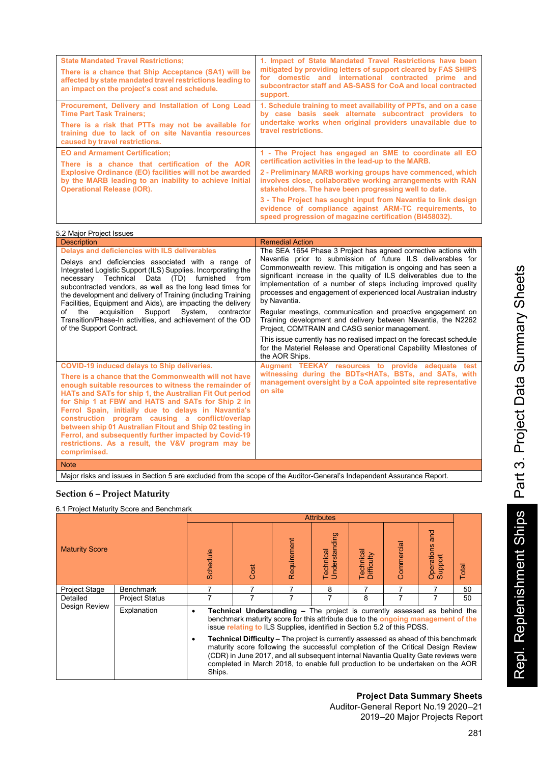| <b>State Mandated Travel Restrictions:</b><br>There is a chance that Ship Acceptance (SA1) will be<br>affected by state mandated travel restrictions leading to<br>an impact on the project's cost and schedule.                                                                                                                                                                                                                                                                                                                                 | 1. Impact of State Mandated Travel Restrictions have been<br>mitigated by providing letters of support cleared by FAS SHIPS<br>for domestic and international contracted prime and<br>subcontractor staff and AS-SASS for CoA and local contracted<br>support.                                                                                                                                                                                                                                                                                                                                                 |
|--------------------------------------------------------------------------------------------------------------------------------------------------------------------------------------------------------------------------------------------------------------------------------------------------------------------------------------------------------------------------------------------------------------------------------------------------------------------------------------------------------------------------------------------------|----------------------------------------------------------------------------------------------------------------------------------------------------------------------------------------------------------------------------------------------------------------------------------------------------------------------------------------------------------------------------------------------------------------------------------------------------------------------------------------------------------------------------------------------------------------------------------------------------------------|
| Procurement, Delivery and Installation of Long Lead<br><b>Time Part Task Trainers:</b><br>There is a risk that PTTs may not be available for<br>training due to lack of on site Navantia resources<br>caused by travel restrictions.                                                                                                                                                                                                                                                                                                             | 1. Schedule training to meet availability of PPTs, and on a case<br>by case basis seek alternate subcontract providers to<br>undertake works when original providers unavailable due to<br>travel restrictions.                                                                                                                                                                                                                                                                                                                                                                                                |
| <b>EO and Armament Certification:</b><br>There is a chance that certification of the AOR                                                                                                                                                                                                                                                                                                                                                                                                                                                         | 1 - The Project has engaged an SME to coordinate all EO<br>certification activities in the lead-up to the MARB.                                                                                                                                                                                                                                                                                                                                                                                                                                                                                                |
| Explosive Ordinance (EO) facilities will not be awarded<br>by the MARB leading to an inability to achieve Initial<br><b>Operational Release (IOR).</b>                                                                                                                                                                                                                                                                                                                                                                                           | 2 - Preliminary MARB working groups have commenced, which<br>involves close, collaborative working arrangements with RAN<br>stakeholders. The have been progressing well to date.                                                                                                                                                                                                                                                                                                                                                                                                                              |
|                                                                                                                                                                                                                                                                                                                                                                                                                                                                                                                                                  | 3 - The Project has sought input from Navantia to link design<br>evidence of compliance against ARM-TC requirements, to<br>speed progression of magazine certification (BI458032).                                                                                                                                                                                                                                                                                                                                                                                                                             |
| 5.2 Major Project Issues                                                                                                                                                                                                                                                                                                                                                                                                                                                                                                                         |                                                                                                                                                                                                                                                                                                                                                                                                                                                                                                                                                                                                                |
| <b>Description</b>                                                                                                                                                                                                                                                                                                                                                                                                                                                                                                                               | <b>Remedial Action</b>                                                                                                                                                                                                                                                                                                                                                                                                                                                                                                                                                                                         |
|                                                                                                                                                                                                                                                                                                                                                                                                                                                                                                                                                  |                                                                                                                                                                                                                                                                                                                                                                                                                                                                                                                                                                                                                |
| Delays and deficiencies with ILS deliverables<br>Delays and deficiencies associated with a range of<br>Integrated Logistic Support (ILS) Supplies. Incorporating the<br>Technical Data (TD) furnished from<br>necessary<br>subcontracted vendors, as well as the long lead times for<br>the development and delivery of Training (including Training<br>Facilities, Equipment and Aids), are impacting the delivery<br>the<br>acquisition<br>Support<br>System,<br>contractor<br>of<br>Transition/Phase-In activities, and achievement of the OD | The SEA 1654 Phase 3 Project has agreed corrective actions with<br>Navantia prior to submission of future ILS deliverables for<br>Commonwealth review. This mitigation is ongoing and has seen a<br>significant increase in the quality of ILS deliverables due to the<br>implementation of a number of steps including improved quality<br>processes and engagement of experienced local Australian industry<br>by Navantia.<br>Regular meetings, communication and proactive engagement on<br>Training development and delivery between Navantia, the N2262<br>Project, COMTRAIN and CASG senior management. |
| of the Support Contract.<br>COVID-19 induced delays to Ship deliveries.                                                                                                                                                                                                                                                                                                                                                                                                                                                                          | This issue currently has no realised impact on the forecast schedule<br>for the Materiel Release and Operational Capability Milestones of<br>the AOR Ships.<br>Augment TEEKAY resources to provide adequate test                                                                                                                                                                                                                                                                                                                                                                                               |

Note

Major risks and issues in Section 5 are excluded from the scope of the Auditor-General's Independent Assurance Report.

## **Section 6 – Project Maturity**

6.1 Project Maturity Score and Benchmark

|                       |                       |                                                                                                                                                                                                                                                      | <b>Attributes</b>                                                                                                                                                                                                                                                                                                                                      |             |                            |                         |            |                           |       |
|-----------------------|-----------------------|------------------------------------------------------------------------------------------------------------------------------------------------------------------------------------------------------------------------------------------------------|--------------------------------------------------------------------------------------------------------------------------------------------------------------------------------------------------------------------------------------------------------------------------------------------------------------------------------------------------------|-------------|----------------------------|-------------------------|------------|---------------------------|-------|
| <b>Maturity Score</b> |                       | Schedule                                                                                                                                                                                                                                             | Cost                                                                                                                                                                                                                                                                                                                                                   | Requirement | Understanding<br>Technical | Technical<br>Difficulty | Commercial | Operations and<br>Support | Total |
| <b>Project Stage</b>  | <b>Benchmark</b>      |                                                                                                                                                                                                                                                      |                                                                                                                                                                                                                                                                                                                                                        |             | 8                          |                         |            |                           | 50    |
| Detailed              | <b>Project Status</b> |                                                                                                                                                                                                                                                      |                                                                                                                                                                                                                                                                                                                                                        |             |                            | 8                       |            |                           | 50    |
| Design Review         | Explanation           | <b>Technical Understanding -</b> The project is currently assessed as behind the<br>٠<br>benchmark maturity score for this attribute due to the ongoing management of the<br>issue relating to ILS Supplies, identified in Section 5.2 of this PDSS. |                                                                                                                                                                                                                                                                                                                                                        |             |                            |                         |            |                           |       |
|                       |                       | ٠<br>Ships.                                                                                                                                                                                                                                          | <b>Technical Difficulty</b> – The project is currently assessed as ahead of this benchmark<br>maturity score following the successful completion of the Critical Design Review<br>(CDR) in June 2017, and all subsequent internal Navantia Quality Gate reviews were<br>completed in March 2018, to enable full production to be undertaken on the AOR |             |                            |                         |            |                           |       |

## **Project Data Summary Sheets**

Auditor-General Report No.19 2020–21 2019–20 Major Projects Report Repl. Replenishment Ships Part 3. Project Data Summary Sheets

Repl. Replenishment Ships Part 3. Project Data Summary Sheets